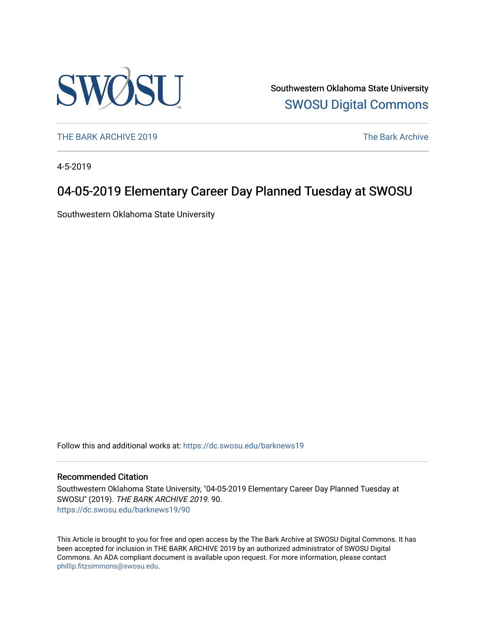

Southwestern Oklahoma State University [SWOSU Digital Commons](https://dc.swosu.edu/) 

[THE BARK ARCHIVE 2019](https://dc.swosu.edu/barknews19) The Bark Archive

4-5-2019

## 04-05-2019 Elementary Career Day Planned Tuesday at SWOSU

Southwestern Oklahoma State University

Follow this and additional works at: [https://dc.swosu.edu/barknews19](https://dc.swosu.edu/barknews19?utm_source=dc.swosu.edu%2Fbarknews19%2F90&utm_medium=PDF&utm_campaign=PDFCoverPages)

#### Recommended Citation

Southwestern Oklahoma State University, "04-05-2019 Elementary Career Day Planned Tuesday at SWOSU" (2019). THE BARK ARCHIVE 2019. 90. [https://dc.swosu.edu/barknews19/90](https://dc.swosu.edu/barknews19/90?utm_source=dc.swosu.edu%2Fbarknews19%2F90&utm_medium=PDF&utm_campaign=PDFCoverPages) 

This Article is brought to you for free and open access by the The Bark Archive at SWOSU Digital Commons. It has been accepted for inclusion in THE BARK ARCHIVE 2019 by an authorized administrator of SWOSU Digital Commons. An ADA compliant document is available upon request. For more information, please contact [phillip.fitzsimmons@swosu.edu](mailto:phillip.fitzsimmons@swosu.edu).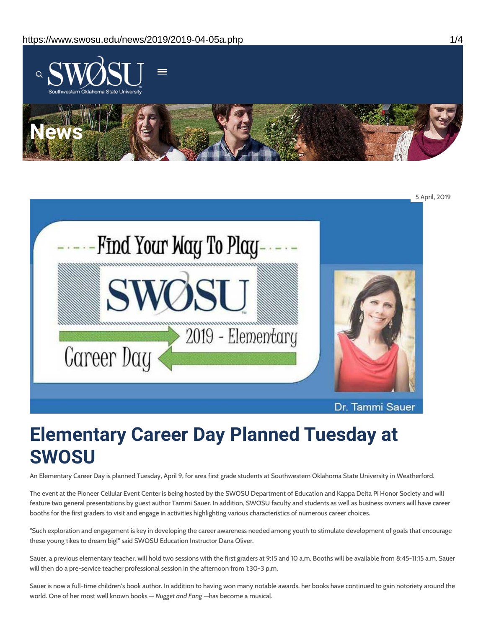



# **Elementary Career Day Planned Tuesday at SWOSU**

An Elementary Career Day is planned Tuesday, April 9, for area first grade students at Southwestern Oklahoma State University in Weatherford.

The event at the Pioneer Cellular Event Center is being hosted by the SWOSU Department of Education and Kappa Delta Pi Honor Society and will feature two general presentations by guest author Tammi Sauer. In addition, SWOSU faculty and students as well as business owners will have career booths for the first graders to visit and engage in activities highlighting various characteristics of numerous career choices.

"Such exploration and engagement is key in developing the career awareness needed among youth to stimulate development of goals that encourage these young tikes to dream big!" said SWOSU Education Instructor Dana Oliver.

Sauer, a previous elementary teacher, will hold two sessions with the first graders at 9:15 and 10 a.m. Booths will be available from 8:45-11:15 a.m. Sauer will then do a pre-service teacher professional session in the afternoon from 1:30-3 p.m.

Sauer is now a full-time children's book author. In addition to having won many notable awards, her books have continued to gain notoriety around the world. One of her most well known books — *Nugget and Fang* —has become a musical.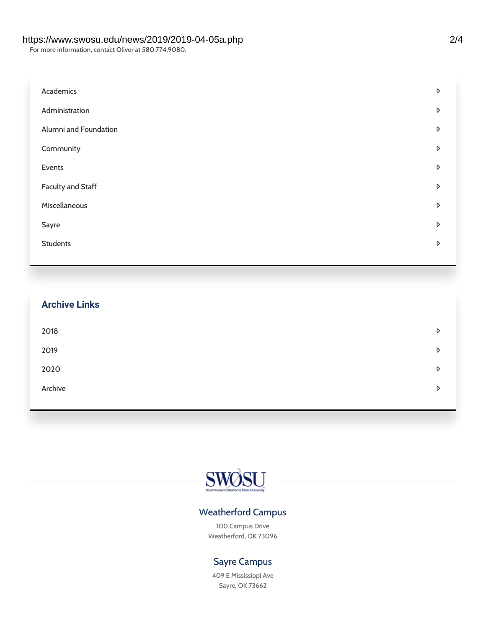For more information, contact Oliver at 580.774.9080.

| Academics                | D |
|--------------------------|---|
| Administration           | D |
| Alumni and Foundation    | D |
| Community                | D |
| Events                   | D |
| <b>Faculty and Staff</b> | D |
| Miscellaneous            | D |
| Sayre                    | D |
| <b>Students</b>          | D |
|                          |   |

|         | <b>Archive Links</b> |   |
|---------|----------------------|---|
| 2018    |                      | D |
| 2019    |                      | D |
| 2020    |                      | D |
| Archive |                      | D |
|         |                      |   |



### Weatherford Campus

100 Campus Drive Weatherford, OK 73096

### Sayre Campus

409 E Mississippi Ave Sayre, OK 73662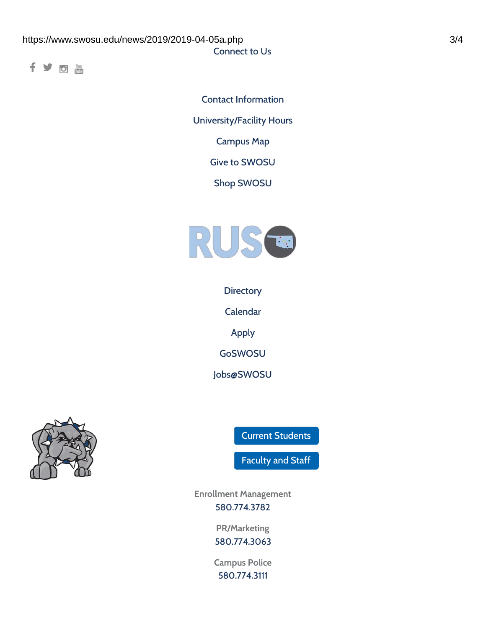Connect to Us

fyom

Contact [Information](https://www.swosu.edu/about/contact.php) [University/Facility](https://www.swosu.edu/about/operating-hours.php) Hours [Campus](https://map.concept3d.com/?id=768#!ct/10964,10214,10213,10212,10205,10204,10203,10202,10136,10129,10128,0,31226,10130,10201,10641,0) Map Give to [SWOSU](https://standingfirmly.com/donate) Shop [SWOSU](https://shopswosu.merchorders.com/)



**[Directory](https://www.swosu.edu/directory/index.php)** 

[Calendar](https://eventpublisher.dudesolutions.com/swosu/)

[Apply](https://www.swosu.edu/admissions/apply-to-swosu.php)

[GoSWOSU](https://qlsso.quicklaunchsso.com/home/1267)

[Jobs@SWOSU](https://swosu.csod.com/ux/ats/careersite/1/home?c=swosu)



Current [Students](https://bulldog.swosu.edu/index.php)

[Faculty](https://bulldog.swosu.edu/faculty-staff/index.php) and Staff

**Enrollment Management** [580.774.3782](tel:5807743782)

> **PR/Marketing** [580.774.3063](tel:5807743063)

**Campus Police** [580.774.3111](tel:5807743111)